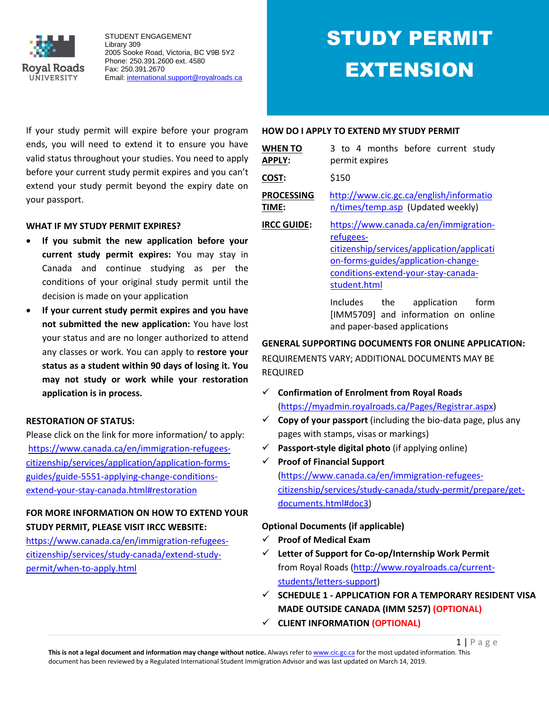

# STUDY PERMIT EXTENSION

If your study permit will expire before your program ends, you will need to extend it to ensure you have valid status throughout your studies. You need to apply before your current study permit expires and you can't extend your study permit beyond the expiry date on your passport.

#### **WHAT IF MY STUDY PERMIT EXPIRES?**

- **If you submit the new application before your current study permit expires:** You may stay in Canada and continue studying as per the conditions of your original study permit until the decision is made on your application
- **If your current study permit expires and you have not submitted the new application:** You have lost your status and are no longer authorized to attend any classes or work. You can apply to **restore your status as a student within 90 days of losing it. You may not study or work while your restoration application is in process.**

## **RESTORATION OF STATUS:**

Please click on the link for more information/ to apply: [https://www.canada.ca/en/immigration-refugees](https://www.canada.ca/en/immigration-refugees-citizenship/services/application/application-forms-guides/guide-5551-applying-change-conditions-extend-your-stay-canada.html#restoration)[citizenship/services/application/application-forms](https://www.canada.ca/en/immigration-refugees-citizenship/services/application/application-forms-guides/guide-5551-applying-change-conditions-extend-your-stay-canada.html#restoration)[guides/guide-5551-applying-change-conditions](https://www.canada.ca/en/immigration-refugees-citizenship/services/application/application-forms-guides/guide-5551-applying-change-conditions-extend-your-stay-canada.html#restoration)[extend-your-stay-canada.html#restoration](https://www.canada.ca/en/immigration-refugees-citizenship/services/application/application-forms-guides/guide-5551-applying-change-conditions-extend-your-stay-canada.html#restoration)

## **FOR MORE INFORMATION ON HOW TO EXTEND YOUR STUDY PERMIT, PLEASE VISIT IRCC WEBSITE:**

[https://www.canada.ca/en/immigration-refugees](https://www.canada.ca/en/immigration-refugees-citizenship/services/study-canada/extend-study-permit/when-to-apply.html)[citizenship/services/study-canada/extend-study](https://www.canada.ca/en/immigration-refugees-citizenship/services/study-canada/extend-study-permit/when-to-apply.html)[permit/when-to-apply.html](https://www.canada.ca/en/immigration-refugees-citizenship/services/study-canada/extend-study-permit/when-to-apply.html)

#### **HOW DO I APPLY TO EXTEND MY STUDY PERMIT**

| <b>WHEN TO</b><br><b>APPLY:</b> | 3 to 4 months before current study<br>permit expires                                                                                                                                           |  |  |  |  |  |
|---------------------------------|------------------------------------------------------------------------------------------------------------------------------------------------------------------------------------------------|--|--|--|--|--|
| COST:                           | \$150                                                                                                                                                                                          |  |  |  |  |  |
| <b>PROCESSING</b><br>TIME:      | http://www.cic.gc.ca/english/informatio<br>n/times/temp.asp (Updated weekly)                                                                                                                   |  |  |  |  |  |
| <b>IRCC GUIDE:</b>              | https://www.canada.ca/en/immigration-<br>refugees-<br>citizenship/services/application/applicati<br>on-forms-guides/application-change-<br>conditions-extend-your-stay-canada-<br>student.html |  |  |  |  |  |
|                                 | Includes the application<br>form<br>[IMM5709] and information on online<br>and paper-based applications                                                                                        |  |  |  |  |  |

## **GENERAL SUPPORTING DOCUMENTS FOR ONLINE APPLICATION:**

REQUIREMENTS VARY; ADDITIONAL DOCUMENTS MAY BE REQUIRED

- **Confirmation of Enrolment from Royal Roads**  [\(https://myadmin.royalroads.ca/Pages/Registrar.aspx\)](https://myadmin.royalroads.ca/Pages/Registrar.aspx)
- $\checkmark$  **Copy of your passport** (including the bio-data page, plus any pages with stamps, visas or markings)
- **Passport-style digital photo** (if applying online)
- **Proof of Financial Support**  [\(https://www.canada.ca/en/immigration-refugees](https://www.canada.ca/en/immigration-refugees-citizenship/services/study-canada/study-permit/prepare/get-documents.html#doc3)[citizenship/services/study-canada/study-permit/prepare/get](https://www.canada.ca/en/immigration-refugees-citizenship/services/study-canada/study-permit/prepare/get-documents.html#doc3)[documents.html#doc3\)](https://www.canada.ca/en/immigration-refugees-citizenship/services/study-canada/study-permit/prepare/get-documents.html#doc3)

## **Optional Documents (if applicable)**

- **Proof of Medical Exam**
- **Letter of Support for Co-op/Internship Work Permit** from Royal Roads [\(http://www.royalroads.ca/current](http://www.royalroads.ca/current-students/letters-support)[students/letters-support\)](http://www.royalroads.ca/current-students/letters-support)
- **SCHEDULE 1 - APPLICATION FOR A TEMPORARY RESIDENT VISA MADE OUTSIDE CANADA (IMM 5257) (OPTIONAL)**
- **CLIENT INFORMATION (OPTIONAL)**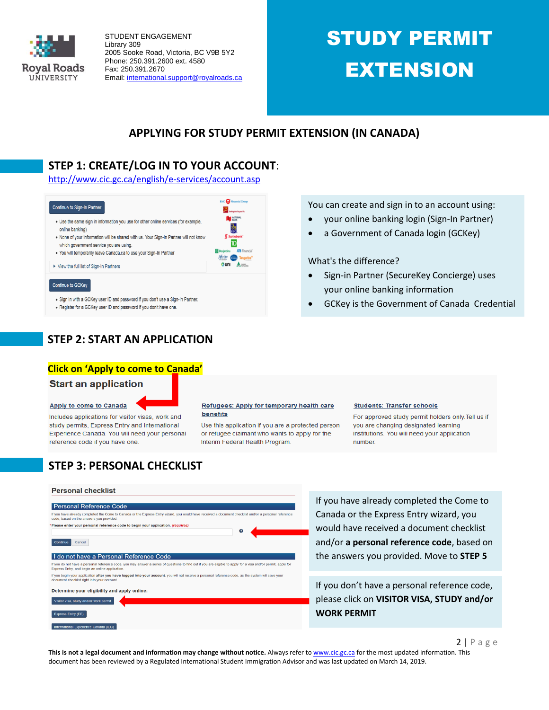

# STUDY PERMIT EXTENSION

## **APPLYING FOR STUDY PERMIT EXTENSION (IN CANADA)**

## **STEP 1: CREATE/LOG IN TO YOUR ACCOUNT**:

<http://www.cic.gc.ca/english/e-services/account.asp>



- . Sign in with a GCKey user ID and password if you don't use a Sign-In Partner.
- . Register for a GCKey user ID and password if you don't have one.

**STEP 2: START AN APPLICATION** 

## **Click on 'Apply to come to Canada'**

## **Start an application**

#### Apply to come to Canada

Includes applications for visitor visas, work and study permits, Express Entry and International Experience Canada. You will need your personal reference code if you have one.

#### Refugees: Apply for temporary health care benefits

Use this application if you are a protected person or refugee claimant who wants to apply for the Interim Federal Health Program.

## a Government of Canada login (GCKey)

You can create and sign in to an account using: your online banking login (Sign-In Partner)

#### What's the difference?

- Sign-in Partner (SecureKey Concierge) uses your online banking information
- GCKey is the Government of Canada Credential

#### **Students: Transfer schools**

For approved study permit holders only. Tell us if you are changing designated learning institutions. You will need your application number.

## **STEP 3: PERSONAL CHECKLIST**

#### **Personal checklist**

#### **Personal Reference Code**

#### If you have already completed the Come to Canada or the Express Entry wizard, you would have code, based on the answers you provided. ed a document checklist and/or a personal re Please enter your personal reference code to begin your application. (req  $\mathbf{o}$

#### Continue Cancel

#### I do not have a Personal Reference Code

If you do not have a personal reference code, you may answer a series of questions to find out if you are eligible to apply for a visa and/or permit, apply fo<br>Express Entry, and begin an online application. If you begin your application after you have logged into your account, you will not receive a personal reference code, as the system will save you<br>document checklist right into your account.

#### Determine your eligibility and apply online:

isitor visa, study and/or work permit Express Entry (EE) Step 3: **Step 3: According 2: According IRCCC** question and find out whether and find out whether you are eligible to a product out when the step  $\mathcal{L}$ 

## If you have already completed the Come to Canada or the Express Entry wizard, you would have received a document checklist and/or **a personal reference code**, based on the answers you provided. Move to **STEP 5**

If you don't have a personal reference code, please click on **VISITOR VISA, STUDY and/or WORK PERMIT**

This is not a legal document and information may change without notice. Always refer t[o www.cic.gc.ca](http://www.cic.gc.ca/) for the most updated information. This document has been reviewed by a Regulated International Student Immigration Advisor and was last updated on March 14, 2019.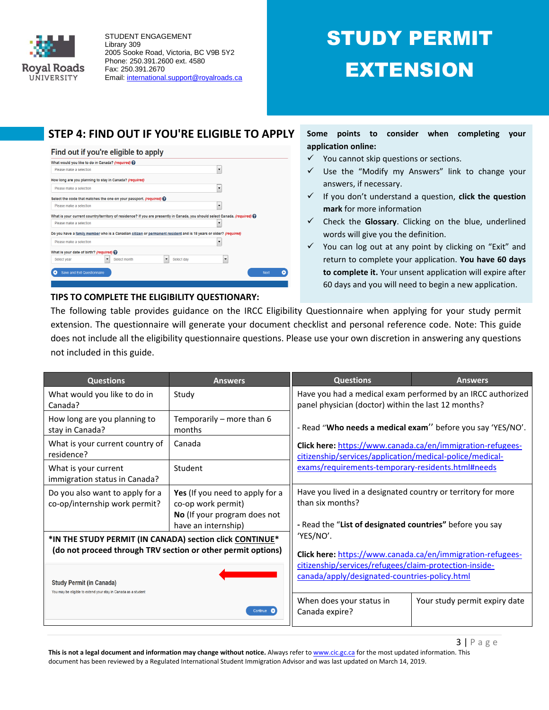

# STUDY PERMIT EXTENSION

## **STEP 4: FIND OUT IF YOU'RE ELIGIBLE TO APPLY**

#### Find out if you're eligible to apply



**TIPS TO COMPLETE THE ELIGIBILITY QUESTIONARY:** 

## **Some points to consider when completing your application online:**

- $\checkmark$  You cannot skip questions or sections.
- $\checkmark$  Use the "Modify my Answers" link to change your answers, if necessary.
- If you don't understand a question, **click the question mark** for more information
- Check the **Glossary**. Clicking on the blue, underlined words will give you the definition.
- $\checkmark$  You can log out at any point by clicking on "Exit" and return to complete your application. **You have 60 days to complete it.** Your unsent application will expire after 60 days and you will need to begin a new application.

The following table provides guidance on the IRCC Eligibility Questionnaire when applying for your study permit extension. The questionnaire will generate your document checklist and personal reference code. Note: This guide does not include all the eligibility questionnaire questions. Please use your own discretion in answering any questions not included in this guide.

| <b>Questions</b>                                                                                                | <b>Answers</b>                                                                                               | <b>Questions</b>                                                                                                                                                            | <b>Answers</b>                |  |  |
|-----------------------------------------------------------------------------------------------------------------|--------------------------------------------------------------------------------------------------------------|-----------------------------------------------------------------------------------------------------------------------------------------------------------------------------|-------------------------------|--|--|
| What would you like to do in<br>Canada?                                                                         | Study                                                                                                        | Have you had a medical exam performed by an IRCC authorized<br>panel physician (doctor) within the last 12 months?                                                          |                               |  |  |
| How long are you planning to<br>stay in Canada?                                                                 | Temporarily – more than 6<br>months                                                                          | - Read "Who needs a medical exam" before you say 'YES/NO'.                                                                                                                  |                               |  |  |
| What is your current country of<br>residence?                                                                   | Canada                                                                                                       | Click here: https://www.canada.ca/en/immigration-refugees-<br>citizenship/services/application/medical-police/medical-<br>exams/requirements-temporary-residents.html#needs |                               |  |  |
| What is your current<br>immigration status in Canada?                                                           | Student                                                                                                      |                                                                                                                                                                             |                               |  |  |
| Do you also want to apply for a<br>co-op/internship work permit?                                                | Yes (If you need to apply for a<br>co-op work permit)<br>No (If your program does not<br>have an internship) | Have you lived in a designated country or territory for more<br>than six months?<br>- Read the "List of designated countries" before you say                                |                               |  |  |
| *IN THE STUDY PERMIT (IN CANADA) section click CONTINUE*                                                        |                                                                                                              | 'YES/NO'.                                                                                                                                                                   |                               |  |  |
| (do not proceed through TRV section or other permit options)                                                    |                                                                                                              | Click here: https://www.canada.ca/en/immigration-refugees-<br>citizenship/services/refugees/claim-protection-inside-<br>canada/apply/designated-countries-policy.html       |                               |  |  |
| <b>Study Permit (in Canada)</b><br>You may be eligible to extend your stay in Canada as a student<br>Continue C |                                                                                                              |                                                                                                                                                                             |                               |  |  |
|                                                                                                                 |                                                                                                              | When does your status in<br>Canada expire?                                                                                                                                  | Your study permit expiry date |  |  |

This is not a legal document and information may change without notice. Always refer t[o www.cic.gc.ca](http://www.cic.gc.ca/) for the most updated information. This document has been reviewed by a Regulated International Student Immigration Advisor and was last updated on March 14, 2019.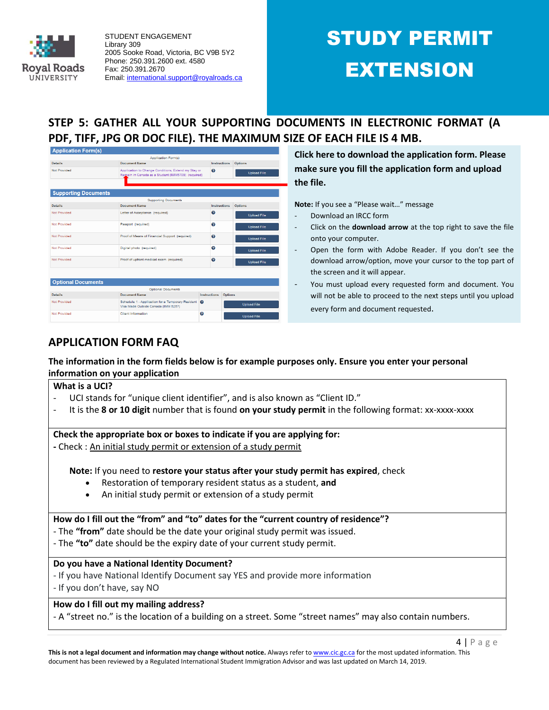

# STUDY PERMIT EXTENSION

## **STEP 5: GATHER ALL YOUR SUPPORTING DOCUMENTS IN ELECTRONIC FORMAT (A PDF, TIFF, JPG OR DOC FILE). THE MAXIMUM SIZE OF EACH FILE IS 4 MB.**

| <b>Application Form(s)</b>  |                                                                                                           |                         |                    |
|-----------------------------|-----------------------------------------------------------------------------------------------------------|-------------------------|--------------------|
|                             | <b>Application Form(s)</b>                                                                                |                         |                    |
| <b>Details</b>              | <b>Document Name</b>                                                                                      | Instructions            | <b>Options</b>     |
| Not Provided                | Application to Change Conditions, Extend my Stay or<br>Remain in Canada as a Student (IMM5709) (required) | $\bullet$               | <b>Upload File</b> |
| <b>Supporting Documents</b> |                                                                                                           |                         |                    |
|                             | <b>Supporting Documents</b>                                                                               |                         |                    |
| <b>Details</b>              | Document Name                                                                                             | Instructions            | <b>Options</b>     |
| Not Provided                | Letter of Acceptance (required)                                                                           | $\bullet$               | <b>Upload File</b> |
| <b>Not Provided</b>         | Passport (required)                                                                                       | ℯ                       | <b>Upload File</b> |
| Not Provided                | Proof of Means of Financial Support (required)                                                            | $\bullet$               | <b>Upload File</b> |
| Not Provided                | Digital photo (required)                                                                                  | ø                       | <b>Upload File</b> |
| Not Provided                | Proof of upfront medical exam (required)                                                                  | $\boldsymbol{\Omega}$   | <b>Upload File</b> |
|                             |                                                                                                           |                         |                    |
| <b>Optional Documents</b>   |                                                                                                           |                         |                    |
|                             | <b>Optional Documents</b>                                                                                 |                         |                    |
| <b>Details</b>              | Document Name                                                                                             | Instructions<br>Options |                    |
| Not Provided                | Schedule 1 - Application for a Temporary Resident<br>Visa Made Outside Canada (IMM 5257)                  | ଵ                       | <b>Upload File</b> |
| Not Provided                | Client Information                                                                                        | ๏                       | <b>Upload File</b> |

**Click here to download the application form. Please make sure you fill the application form and upload the file.**

**Note:** If you see a "Please wait…" message

- Download an IRCC form
- Click on the **download arrow** at the top right to save the file onto your computer.
- Open the form with Adobe Reader. If you don't see the download arrow/option, move your cursor to the top part of the screen and it will appear.
- You must upload every requested form and document. You will not be able to proceed to the next steps until you upload every form and document requested.

## **APPLICATION FORM FAQ**

## **The information in the form fields below is for example purposes only. Ensure you enter your personal information on your application**

#### **What is a UCI?**

- UCI stands for "unique client identifier", and is also known as "Client ID."
- It is the **8 or 10 digit** number that is found **on your study permit** in the following format: xx-xxxx-xxxx

#### **Check the appropriate box or boxes to indicate if you are applying for:**

**-** Check : An initial study permit or extension of a study permit

**Note:** If you need to **restore your status after your study permit has expired**, check

- Restoration of temporary resident status as a student, **and**
- An initial study permit or extension of a study permit

## **How do I fill out the "from" and "to" dates for the "current country of residence"?**

- The **"from"** date should be the date your original study permit was issued.
- The **"to"** date should be the expiry date of your current study permit.

## **Do you have a National Identity Document?**

- If you have National Identify Document say YES and provide more information
- If you don't have, say NO

## **How do I fill out my mailing address?**

- A "street no." is the location of a building on a street. Some "street names" may also contain numbers.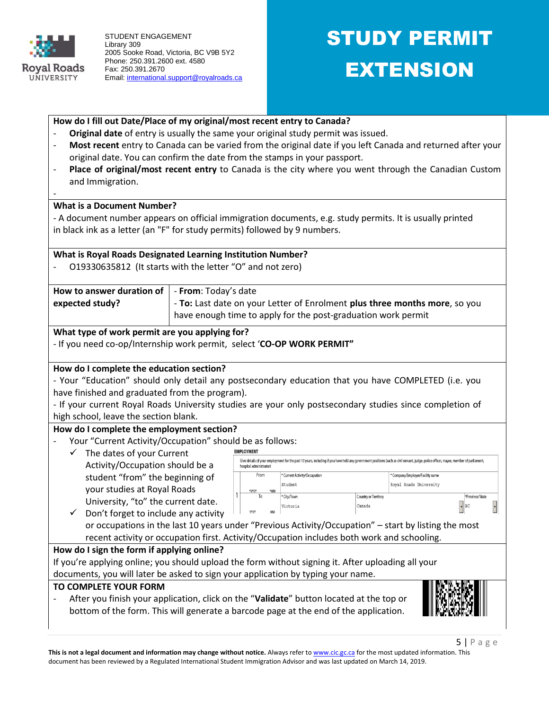

## STUDY PERMIT EXTENSION

| How do I fill out Date/Place of my original/most recent entry to Canada?                                 |                                                                            |                         |                                                               |                                |                                                                                                                                                                                        |  |  |  |
|----------------------------------------------------------------------------------------------------------|----------------------------------------------------------------------------|-------------------------|---------------------------------------------------------------|--------------------------------|----------------------------------------------------------------------------------------------------------------------------------------------------------------------------------------|--|--|--|
| Original date of entry is usually the same your original study permit was issued.                        |                                                                            |                         |                                                               |                                |                                                                                                                                                                                        |  |  |  |
|                                                                                                          |                                                                            |                         |                                                               |                                | Most recent entry to Canada can be varied from the original date if you left Canada and returned after your                                                                            |  |  |  |
|                                                                                                          | original date. You can confirm the date from the stamps in your passport.  |                         |                                                               |                                |                                                                                                                                                                                        |  |  |  |
| $\overline{a}$                                                                                           |                                                                            |                         |                                                               |                                | Place of original/most recent entry to Canada is the city where you went through the Canadian Custom                                                                                   |  |  |  |
| and Immigration.                                                                                         |                                                                            |                         |                                                               |                                |                                                                                                                                                                                        |  |  |  |
|                                                                                                          |                                                                            |                         |                                                               |                                |                                                                                                                                                                                        |  |  |  |
| <b>What is a Document Number?</b>                                                                        |                                                                            |                         |                                                               |                                |                                                                                                                                                                                        |  |  |  |
| - A document number appears on official immigration documents, e.g. study permits. It is usually printed |                                                                            |                         |                                                               |                                |                                                                                                                                                                                        |  |  |  |
| in black ink as a letter (an "F" for study permits) followed by 9 numbers.                               |                                                                            |                         |                                                               |                                |                                                                                                                                                                                        |  |  |  |
|                                                                                                          |                                                                            |                         |                                                               |                                |                                                                                                                                                                                        |  |  |  |
| <b>What is Royal Roads Designated Learning Institution Number?</b>                                       |                                                                            |                         |                                                               |                                |                                                                                                                                                                                        |  |  |  |
| O19330635812 (It starts with the letter "O" and not zero)                                                |                                                                            |                         |                                                               |                                |                                                                                                                                                                                        |  |  |  |
| How to answer duration of                                                                                | - From: Today's date                                                       |                         |                                                               |                                |                                                                                                                                                                                        |  |  |  |
| expected study?                                                                                          | - To: Last date on your Letter of Enrolment plus three months more, so you |                         |                                                               |                                |                                                                                                                                                                                        |  |  |  |
|                                                                                                          |                                                                            |                         | have enough time to apply for the post-graduation work permit |                                |                                                                                                                                                                                        |  |  |  |
|                                                                                                          |                                                                            |                         |                                                               |                                |                                                                                                                                                                                        |  |  |  |
| What type of work permit are you applying for?                                                           |                                                                            |                         |                                                               |                                |                                                                                                                                                                                        |  |  |  |
| - If you need co-op/Internship work permit, select 'CO-OP WORK PERMIT"                                   |                                                                            |                         |                                                               |                                |                                                                                                                                                                                        |  |  |  |
| How do I complete the education section?                                                                 |                                                                            |                         |                                                               |                                |                                                                                                                                                                                        |  |  |  |
| - Your "Education" should only detail any postsecondary education that you have COMPLETED (i.e. you      |                                                                            |                         |                                                               |                                |                                                                                                                                                                                        |  |  |  |
| have finished and graduated from the program).                                                           |                                                                            |                         |                                                               |                                |                                                                                                                                                                                        |  |  |  |
| - If your current Royal Roads University studies are your only postsecondary studies since completion of |                                                                            |                         |                                                               |                                |                                                                                                                                                                                        |  |  |  |
| high school, leave the section blank.                                                                    |                                                                            |                         |                                                               |                                |                                                                                                                                                                                        |  |  |  |
| How do I complete the employment section?                                                                |                                                                            |                         |                                                               |                                |                                                                                                                                                                                        |  |  |  |
| Your "Current Activity/Occupation" should be as follows:                                                 |                                                                            |                         |                                                               |                                |                                                                                                                                                                                        |  |  |  |
| The dates of your Current<br>✓                                                                           |                                                                            | <b>EMPLOYMENT</b>       |                                                               |                                |                                                                                                                                                                                        |  |  |  |
| Activity/Occupation should be a                                                                          |                                                                            | hospital administrator) |                                                               |                                | Give details of your employment for the past 10 years, including if you have held any government positions (such as civil servant, judge, police officer, mayor, member of parliament, |  |  |  |
| student "from" the beginning of                                                                          |                                                                            | From                    | * Current Activity/Occupation                                 |                                | ' Company/Employer/Facility name                                                                                                                                                       |  |  |  |
| your studies at Royal Roads                                                                              |                                                                            | mm                      | Student                                                       |                                | Royal Roads University                                                                                                                                                                 |  |  |  |
| University, "to" the current date.                                                                       |                                                                            | To                      | * City/Town<br>Victoria                                       | Country or Territory<br>Canada | *Province/State<br> BC                                                                                                                                                                 |  |  |  |
| Don't forget to include any activity                                                                     |                                                                            | YYYY                    |                                                               |                                |                                                                                                                                                                                        |  |  |  |
| or occupations in the last 10 years under "Previous Activity/Occupation" - start by listing the most     |                                                                            |                         |                                                               |                                |                                                                                                                                                                                        |  |  |  |
| recent activity or occupation first. Activity/Occupation includes both work and schooling.               |                                                                            |                         |                                                               |                                |                                                                                                                                                                                        |  |  |  |
| How do I sign the form if applying online?                                                               |                                                                            |                         |                                                               |                                |                                                                                                                                                                                        |  |  |  |
| If you're applying online; you should upload the form without signing it. After uploading all your       |                                                                            |                         |                                                               |                                |                                                                                                                                                                                        |  |  |  |
| documents, you will later be asked to sign your application by typing your name.                         |                                                                            |                         |                                                               |                                |                                                                                                                                                                                        |  |  |  |
| TO COMPLETE YOUR FORM                                                                                    |                                                                            |                         |                                                               |                                |                                                                                                                                                                                        |  |  |  |
| After you finish your application, click on the "Validate" button located at the top or                  |                                                                            |                         |                                                               |                                |                                                                                                                                                                                        |  |  |  |
| bottom of the form. This will generate a barcode page at the end of the application.                     |                                                                            |                         |                                                               |                                |                                                                                                                                                                                        |  |  |  |
|                                                                                                          |                                                                            |                         |                                                               |                                |                                                                                                                                                                                        |  |  |  |

This is not a legal document and information may change without notice. Always refer t[o www.cic.gc.ca](http://www.cic.gc.ca/) for the most updated information. This document has been reviewed by a Regulated International Student Immigration Advisor and was last updated on March 14, 2019.

5 | P a g e